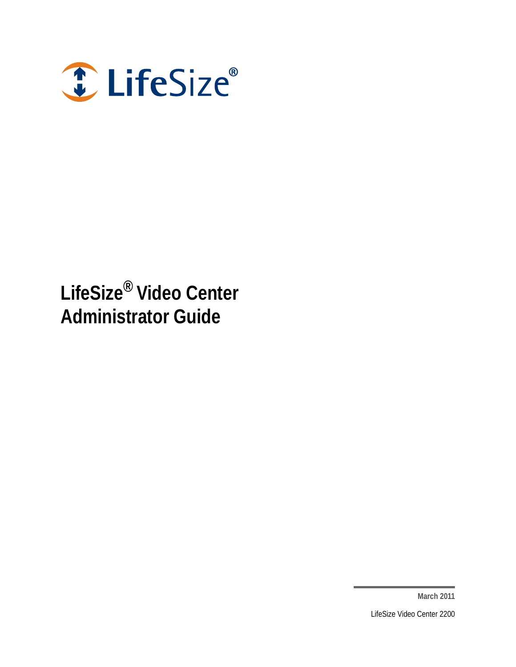

# **LifeSize® Video Center Administrator Guide**

**March 2011**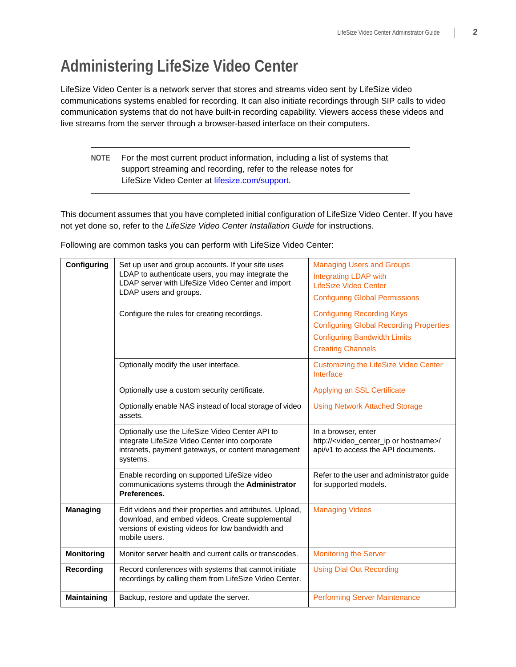# **Administering LifeSize Video Center**

LifeSize Video Center is a network server that stores and streams video sent by LifeSize video communications systems enabled for recording. It can also initiate recordings through SIP calls to video communication systems that do not have built-in recording capability. Viewers access these videos and live streams from the server through a browser-based interface on their computers.

### **NOTE** For the most current product information, including a list of systems that support streaming and recording, refer to the release notes for LifeSize Video Center at [lifesize.com/support.](http://www.lifesize.com/support)

This document assumes that you have completed initial configuration of LifeSize Video Center. If you have not yet done so, refer to the *LifeSize Video Center Installation Guide* for instructions.

| Configuring        | Set up user and group accounts. If your site uses<br>LDAP to authenticate users, you may integrate the<br>LDAP server with LifeSize Video Center and import<br>LDAP users and groups. | <b>Managing Users and Groups</b><br><b>Integrating LDAP with</b><br><b>LifeSize Video Center</b><br><b>Configuring Global Permissions</b>              |
|--------------------|---------------------------------------------------------------------------------------------------------------------------------------------------------------------------------------|--------------------------------------------------------------------------------------------------------------------------------------------------------|
|                    | Configure the rules for creating recordings.                                                                                                                                          | <b>Configuring Recording Keys</b><br><b>Configuring Global Recording Properties</b><br><b>Configuring Bandwidth Limits</b><br><b>Creating Channels</b> |
|                    | Optionally modify the user interface.                                                                                                                                                 | <b>Customizing the LifeSize Video Center</b><br>Interface                                                                                              |
|                    | Optionally use a custom security certificate.                                                                                                                                         | Applying an SSL Certificate                                                                                                                            |
|                    | Optionally enable NAS instead of local storage of video<br>assets.                                                                                                                    | <b>Using Network Attached Storage</b>                                                                                                                  |
|                    | Optionally use the LifeSize Video Center API to<br>integrate LifeSize Video Center into corporate<br>intranets, payment gateways, or content management<br>systems.                   | In a browser, enter<br>http:// <video_center_ip hostname="" or="">/<br/>api/v1 to access the API documents.</video_center_ip>                          |
|                    | Enable recording on supported LifeSize video<br>communications systems through the Administrator<br>Preferences.                                                                      | Refer to the user and administrator guide<br>for supported models.                                                                                     |
| <b>Managing</b>    | Edit videos and their properties and attributes. Upload,<br>download, and embed videos. Create supplemental<br>versions of existing videos for low bandwidth and<br>mobile users.     | <b>Managing Videos</b>                                                                                                                                 |
| <b>Monitoring</b>  | Monitor server health and current calls or transcodes.                                                                                                                                | <b>Monitoring the Server</b>                                                                                                                           |
| Recording          | Record conferences with systems that cannot initiate<br>recordings by calling them from LifeSize Video Center.                                                                        | <b>Using Dial Out Recording</b>                                                                                                                        |
| <b>Maintaining</b> | Backup, restore and update the server.                                                                                                                                                | <b>Performing Server Maintenance</b>                                                                                                                   |

Following are common tasks you can perform with LifeSize Video Center: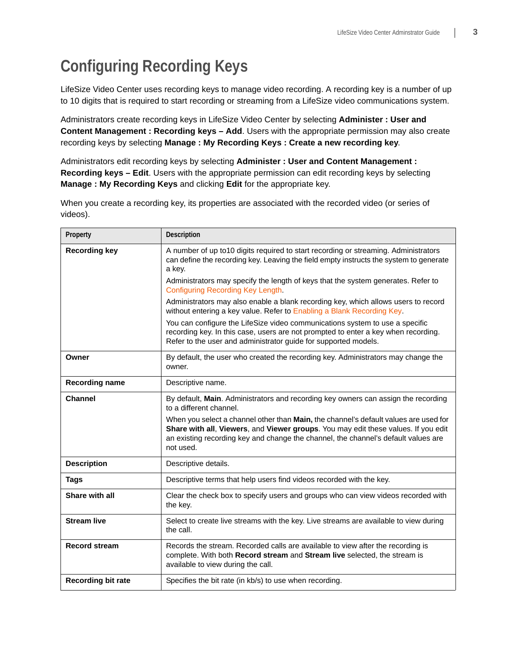# <span id="page-2-0"></span>**Configuring Recording Keys**

LifeSize Video Center uses recording keys to manage video recording. A recording key is a number of up to 10 digits that is required to start recording or streaming from a LifeSize video communications system.

Administrators create recording keys in LifeSize Video Center by selecting **Administer : User and Content Management : Recording keys – Add**. Users with the appropriate permission may also create recording keys by selecting **Manage : My Recording Keys : Create a new recording key**.

Administrators edit recording keys by selecting **Administer : User and Content Management : Recording keys – Edit**. Users with the appropriate permission can edit recording keys by selecting **Manage : My Recording Keys** and clicking **Edit** for the appropriate key.

When you create a recording key, its properties are associated with the recorded video (or series of videos).

| Property                  | Description                                                                                                                                                                                                                                                                                                                                                                                    |  |  |
|---------------------------|------------------------------------------------------------------------------------------------------------------------------------------------------------------------------------------------------------------------------------------------------------------------------------------------------------------------------------------------------------------------------------------------|--|--|
| <b>Recording key</b>      | A number of up to 10 digits required to start recording or streaming. Administrators<br>can define the recording key. Leaving the field empty instructs the system to generate<br>a key.                                                                                                                                                                                                       |  |  |
|                           | Administrators may specify the length of keys that the system generates. Refer to<br>Configuring Recording Key Length.                                                                                                                                                                                                                                                                         |  |  |
|                           | Administrators may also enable a blank recording key, which allows users to record<br>without entering a key value. Refer to Enabling a Blank Recording Key.                                                                                                                                                                                                                                   |  |  |
|                           | You can configure the LifeSize video communications system to use a specific<br>recording key. In this case, users are not prompted to enter a key when recording.<br>Refer to the user and administrator guide for supported models.                                                                                                                                                          |  |  |
| Owner                     | By default, the user who created the recording key. Administrators may change the<br>owner.                                                                                                                                                                                                                                                                                                    |  |  |
| <b>Recording name</b>     | Descriptive name.                                                                                                                                                                                                                                                                                                                                                                              |  |  |
| <b>Channel</b>            | By default, Main. Administrators and recording key owners can assign the recording<br>to a different channel.<br>When you select a channel other than Main, the channel's default values are used for<br>Share with all, Viewers, and Viewer groups. You may edit these values. If you edit<br>an existing recording key and change the channel, the channel's default values are<br>not used. |  |  |
| <b>Description</b>        | Descriptive details.                                                                                                                                                                                                                                                                                                                                                                           |  |  |
| <b>Tags</b>               | Descriptive terms that help users find videos recorded with the key.                                                                                                                                                                                                                                                                                                                           |  |  |
| Share with all            | Clear the check box to specify users and groups who can view videos recorded with<br>the key.                                                                                                                                                                                                                                                                                                  |  |  |
| <b>Stream live</b>        | Select to create live streams with the key. Live streams are available to view during<br>the call.                                                                                                                                                                                                                                                                                             |  |  |
| <b>Record stream</b>      | Records the stream. Recorded calls are available to view after the recording is<br>complete. With both Record stream and Stream live selected, the stream is<br>available to view during the call.                                                                                                                                                                                             |  |  |
| <b>Recording bit rate</b> | Specifies the bit rate (in kb/s) to use when recording.                                                                                                                                                                                                                                                                                                                                        |  |  |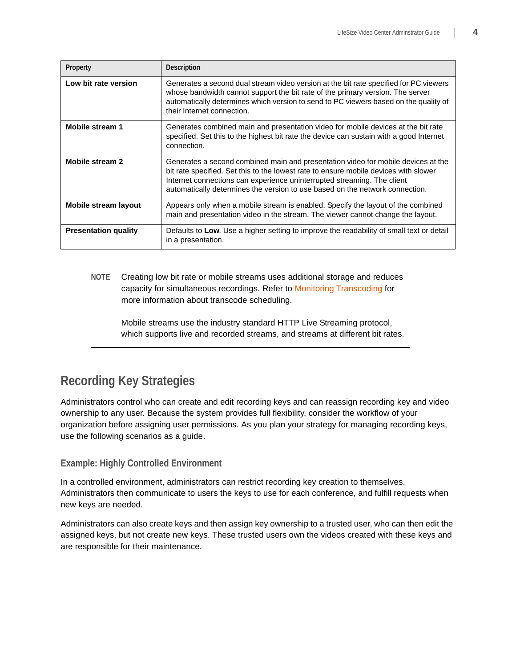| Property                    | <b>Description</b>                                                                                                                                                                                                                                                                                                                   |
|-----------------------------|--------------------------------------------------------------------------------------------------------------------------------------------------------------------------------------------------------------------------------------------------------------------------------------------------------------------------------------|
| Low bit rate version        | Generates a second dual stream video version at the bit rate specified for PC viewers<br>whose bandwidth cannot support the bit rate of the primary version. The server<br>automatically determines which version to send to PC viewers based on the quality of<br>their Internet connection.                                        |
| Mobile stream 1             | Generates combined main and presentation video for mobile devices at the bit rate<br>specified. Set this to the highest bit rate the device can sustain with a good Internet<br>connection.                                                                                                                                          |
| Mobile stream 2             | Generates a second combined main and presentation video for mobile devices at the<br>bit rate specified. Set this to the lowest rate to ensure mobile devices with slower<br>Internet connections can experience uninterrupted streaming. The client<br>automatically determines the version to use based on the network connection. |
| Mobile stream layout        | Appears only when a mobile stream is enabled. Specify the layout of the combined<br>main and presentation video in the stream. The viewer cannot change the layout.                                                                                                                                                                  |
| <b>Presentation quality</b> | Defaults to Low. Use a higher setting to improve the readability of small text or detail<br>in a presentation.                                                                                                                                                                                                                       |

**NOTE** Creating low bit rate or mobile streams uses additional storage and reduces capacity for simultaneous recordings. Refer to [Monitoring Transcoding](#page-20-1) for more information about transcode scheduling.

Mobile streams use the industry standard HTTP Live Streaming protocol, which supports live and recorded streams, and streams at different bit rates.

### **Recording Key Strategies**

Administrators control who can create and edit recording keys and can reassign recording key and video ownership to any user. Because the system provides full flexibility, consider the workflow of your organization before assigning user permissions. As you plan your strategy for managing recording keys, use the following scenarios as a guide.

### **Example: Highly Controlled Environment**

In a controlled environment, administrators can restrict recording key creation to themselves. Administrators then communicate to users the keys to use for each conference, and fulfill requests when new keys are needed.

Administrators can also create keys and then assign key ownership to a trusted user, who can then edit the assigned keys, but not create new keys. These trusted users own the videos created with these keys and are responsible for their maintenance.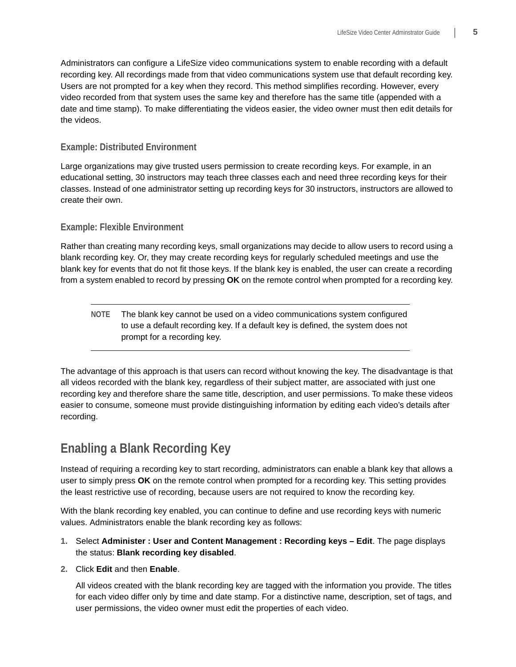Administrators can configure a LifeSize video communications system to enable recording with a default recording key. All recordings made from that video communications system use that default recording key. Users are not prompted for a key when they record. This method simplifies recording. However, every video recorded from that system uses the same key and therefore has the same title (appended with a date and time stamp). To make differentiating the videos easier, the video owner must then edit details for the videos.

### **Example: Distributed Environment**

Large organizations may give trusted users permission to create recording keys. For example, in an educational setting, 30 instructors may teach three classes each and need three recording keys for their classes. Instead of one administrator setting up recording keys for 30 instructors, instructors are allowed to create their own.

### **Example: Flexible Environment**

Rather than creating many recording keys, small organizations may decide to allow users to record using a blank recording key. Or, they may create recording keys for regularly scheduled meetings and use the blank key for events that do not fit those keys. If the blank key is enabled, the user can create a recording from a system enabled to record by pressing **OK** on the remote control when prompted for a recording key.

**NOTE** The blank key cannot be used on a video communications system configured to use a default recording key. If a default key is defined, the system does not prompt for a recording key.

The advantage of this approach is that users can record without knowing the key. The disadvantage is that all videos recorded with the blank key, regardless of their subject matter, are associated with just one recording key and therefore share the same title, description, and user permissions. To make these videos easier to consume, someone must provide distinguishing information by editing each video's details after recording.

## <span id="page-4-0"></span>**Enabling a Blank Recording Key**

Instead of requiring a recording key to start recording, administrators can enable a blank key that allows a user to simply press **OK** on the remote control when prompted for a recording key. This setting provides the least restrictive use of recording, because users are not required to know the recording key.

With the blank recording key enabled, you can continue to define and use recording keys with numeric values. Administrators enable the blank recording key as follows:

### **1.** Select **Administer : User and Content Management : Recording keys – Edit**. The page displays the status: **Blank recording key disabled**.

### **2.** Click **Edit** and then **Enable**.

All videos created with the blank recording key are tagged with the information you provide. The titles for each video differ only by time and date stamp. For a distinctive name, description, set of tags, and user permissions, the video owner must edit the properties of each video.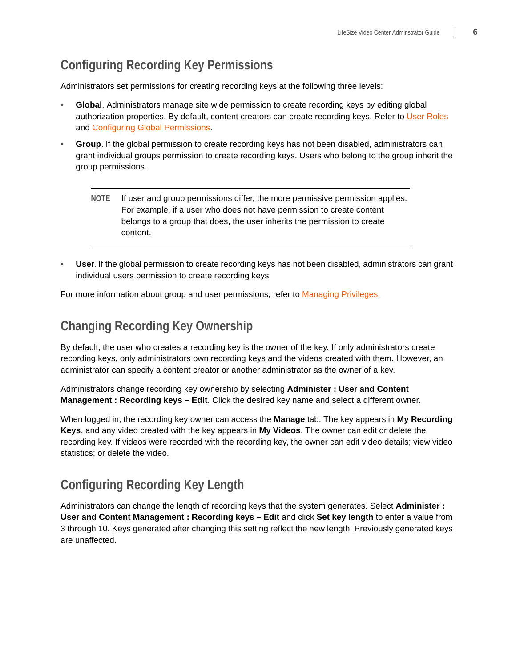## **Configuring Recording Key Permissions**

Administrators set permissions for creating recording keys at the following three levels:

- **Global**. Administrators manage site wide permission to create recording keys by editing global authorization properties. By default, content creators can create recording keys. Refer to [User Roles](#page-8-1) and [Configuring Global Permissions](#page-10-0).
- **Group**. If the global permission to create recording keys has not been disabled, administrators can grant individual groups permission to create recording keys. Users who belong to the group inherit the group permissions.
	- **NOTE** If user and group permissions differ, the more permissive permission applies. For example, if a user who does not have permission to create content belongs to a group that does, the user inherits the permission to create content.
- **User**. If the global permission to create recording keys has not been disabled, administrators can grant individual users permission to create recording keys.

For more information about group and user permissions, refer to [Managing Privileges.](#page-9-0)

## **Changing Recording Key Ownership**

By default, the user who creates a recording key is the owner of the key. If only administrators create recording keys, only administrators own recording keys and the videos created with them. However, an administrator can specify a content creator or another administrator as the owner of a key.

Administrators change recording key ownership by selecting **Administer : User and Content Management : Recording keys – Edit**. Click the desired key name and select a different owner.

When logged in, the recording key owner can access the **Manage** tab. The key appears in **My Recording Keys**, and any video created with the key appears in **My Videos**. The owner can edit or delete the recording key. If videos were recorded with the recording key, the owner can edit video details; view video statistics; or delete the video.

## <span id="page-5-0"></span>**Configuring Recording Key Length**

Administrators can change the length of recording keys that the system generates. Select **Administer : User and Content Management : Recording keys – Edit** and click **Set key length** to enter a value from 3 through 10. Keys generated after changing this setting reflect the new length. Previously generated keys are unaffected.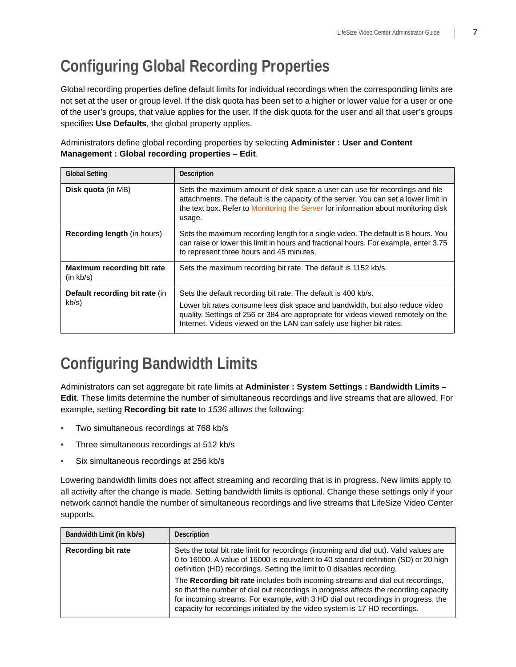# <span id="page-6-0"></span>**Configuring Global Recording Properties**

Global recording properties define default limits for individual recordings when the corresponding limits are not set at the user or group level. If the disk quota has been set to a higher or lower value for a user or one of the user's groups, that value applies for the user. If the disk quota for the user and all that user's groups specifies **Use Defaults**, the global property applies.

Administrators define global recording properties by selecting **Administer : User and Content Management : Global recording properties – Edit**.

| <b>Global Setting</b>                   | <b>Description</b>                                                                                                                                                                                                                                                   |  |
|-----------------------------------------|----------------------------------------------------------------------------------------------------------------------------------------------------------------------------------------------------------------------------------------------------------------------|--|
| <b>Disk quota</b> (in MB)               | Sets the maximum amount of disk space a user can use for recordings and file<br>attachments. The default is the capacity of the server. You can set a lower limit in<br>the text box. Refer to Monitoring the Server for information about monitoring disk<br>usage. |  |
| <b>Recording length (in hours)</b>      | Sets the maximum recording length for a single video. The default is 8 hours. You<br>can raise or lower this limit in hours and fractional hours. For example, enter 3.75<br>to represent three hours and 45 minutes.                                                |  |
| Maximum recording bit rate<br>(in kb/s) | Sets the maximum recording bit rate. The default is 1152 kb/s.                                                                                                                                                                                                       |  |
| Default recording bit rate (in          | Sets the default recording bit rate. The default is 400 kb/s.                                                                                                                                                                                                        |  |
| kb/s)                                   | Lower bit rates consume less disk space and bandwidth, but also reduce video<br>quality. Settings of 256 or 384 are appropriate for videos viewed remotely on the<br>Internet. Videos viewed on the LAN can safely use higher bit rates.                             |  |

## <span id="page-6-1"></span>**Configuring Bandwidth Limits**

Administrators can set aggregate bit rate limits at **Administer : System Settings : Bandwidth Limits – Edit**. These limits determine the number of simultaneous recordings and live streams that are allowed. For example, setting **Recording bit rate** to *1536* allows the following:

- Two simultaneous recordings at 768 kb/s
- Three simultaneous recordings at 512 kb/s
- Six simultaneous recordings at 256 kb/s

Lowering bandwidth limits does not affect streaming and recording that is in progress. New limits apply to all activity after the change is made. Setting bandwidth limits is optional. Change these settings only if your network cannot handle the number of simultaneous recordings and live streams that LifeSize Video Center supports.

| Bandwidth Limit (in kb/s) | <b>Description</b>                                                                                                                                                                                                                                                                                                                        |
|---------------------------|-------------------------------------------------------------------------------------------------------------------------------------------------------------------------------------------------------------------------------------------------------------------------------------------------------------------------------------------|
| <b>Recording bit rate</b> | Sets the total bit rate limit for recordings (incoming and dial out). Valid values are<br>0 to 16000. A value of 16000 is equivalent to 40 standard definition (SD) or 20 high<br>definition (HD) recordings. Setting the limit to 0 disables recording.                                                                                  |
|                           | The Recording bit rate includes both incoming streams and dial out recordings,<br>so that the number of dial out recordings in progress affects the recording capacity<br>for incoming streams. For example, with 3 HD dial out recordings in progress, the<br>capacity for recordings initiated by the video system is 17 HD recordings. |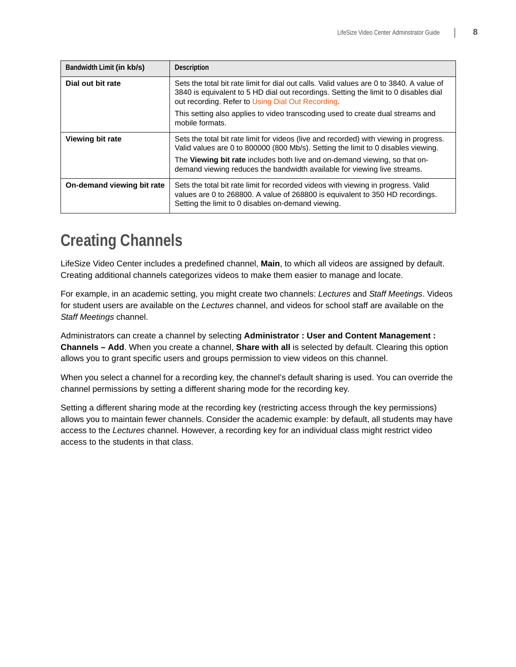| Bandwidth Limit (in kb/s)  | Description                                                                                                                                                                                                                           |
|----------------------------|---------------------------------------------------------------------------------------------------------------------------------------------------------------------------------------------------------------------------------------|
| Dial out bit rate          | Sets the total bit rate limit for dial out calls. Valid values are 0 to 3840. A value of<br>3840 is equivalent to 5 HD dial out recordings. Setting the limit to 0 disables dial<br>out recording. Refer to Using Dial Out Recording. |
|                            | This setting also applies to video transcoding used to create dual streams and<br>mobile formats.                                                                                                                                     |
| Viewing bit rate           | Sets the total bit rate limit for videos (live and recorded) with viewing in progress.<br>Valid values are 0 to 800000 (800 Mb/s). Setting the limit to 0 disables viewing.                                                           |
|                            | The Viewing bit rate includes both live and on-demand viewing, so that on-<br>demand viewing reduces the bandwidth available for viewing live streams.                                                                                |
| On-demand viewing bit rate | Sets the total bit rate limit for recorded videos with viewing in progress. Valid<br>values are 0 to 268800. A value of 268800 is equivalent to 350 HD recordings.<br>Setting the limit to 0 disables on-demand viewing.              |

## <span id="page-7-0"></span>**Creating Channels**

LifeSize Video Center includes a predefined channel, **Main**, to which all videos are assigned by default. Creating additional channels categorizes videos to make them easier to manage and locate.

For example, in an academic setting, you might create two channels: *Lectures* and *Staff Meetings*. Videos for student users are available on the *Lectures* channel, and videos for school staff are available on the *Staff Meetings* channel.

Administrators can create a channel by selecting **Administrator : User and Content Management : Channels – Add**. When you create a channel, **Share with all** is selected by default. Clearing this option allows you to grant specific users and groups permission to view videos on this channel.

When you select a channel for a recording key, the channel's default sharing is used. You can override the channel permissions by setting a different sharing mode for the recording key.

Setting a different sharing mode at the recording key (restricting access through the key permissions) allows you to maintain fewer channels. Consider the academic example: by default, all students may have access to the *Lectures* channel. However, a recording key for an individual class might restrict video access to the students in that class.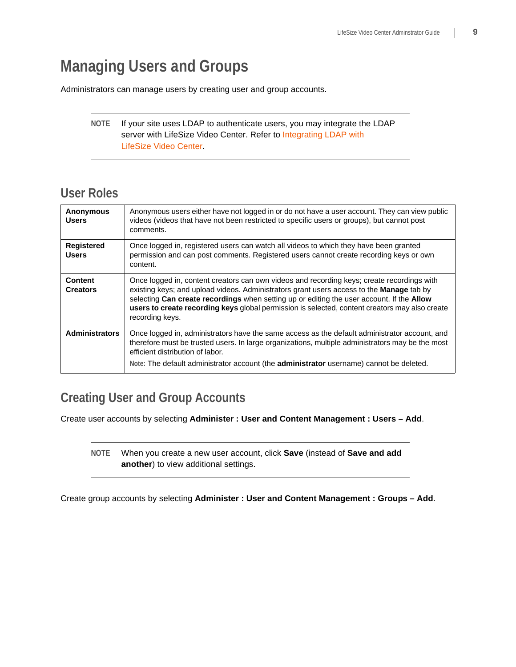# <span id="page-8-0"></span>**Managing Users and Groups**

Administrators can manage users by creating user and group accounts.

### **NOTE** If your site uses LDAP to authenticate users, you may integrate the LDAP server with LifeSize Video Center. Refer to [Integrating LDAP with](#page-11-0)  [LifeSize Video Center](#page-11-0).

### <span id="page-8-1"></span>**User Roles**

| <b>Anonymous</b><br><b>Users</b>  | Anonymous users either have not logged in or do not have a user account. They can view public<br>videos (videos that have not been restricted to specific users or groups), but cannot post<br>comments.                                                                                                                                                                                                 |
|-----------------------------------|----------------------------------------------------------------------------------------------------------------------------------------------------------------------------------------------------------------------------------------------------------------------------------------------------------------------------------------------------------------------------------------------------------|
| <b>Registered</b><br><b>Users</b> | Once logged in, registered users can watch all videos to which they have been granted<br>permission and can post comments. Registered users cannot create recording keys or own<br>content.                                                                                                                                                                                                              |
| <b>Content</b><br><b>Creators</b> | Once logged in, content creators can own videos and recording keys; create recordings with<br>existing keys; and upload videos. Administrators grant users access to the Manage tab by<br>selecting Can create recordings when setting up or editing the user account. If the Allow<br>users to create recording keys global permission is selected, content creators may also create<br>recording keys. |
| <b>Administrators</b>             | Once logged in, administrators have the same access as the default administrator account, and<br>therefore must be trusted users. In large organizations, multiple administrators may be the most<br>efficient distribution of labor.<br>Note: The default administrator account (the <b>administrator</b> username) cannot be deleted.                                                                  |

## **Creating User and Group Accounts**

Create user accounts by selecting **Administer : User and Content Management : Users – Add**.

**NOTE** When you create a new user account, click **Save** (instead of **Save and add another**) to view additional settings.

Create group accounts by selecting **Administer : User and Content Management : Groups – Add**.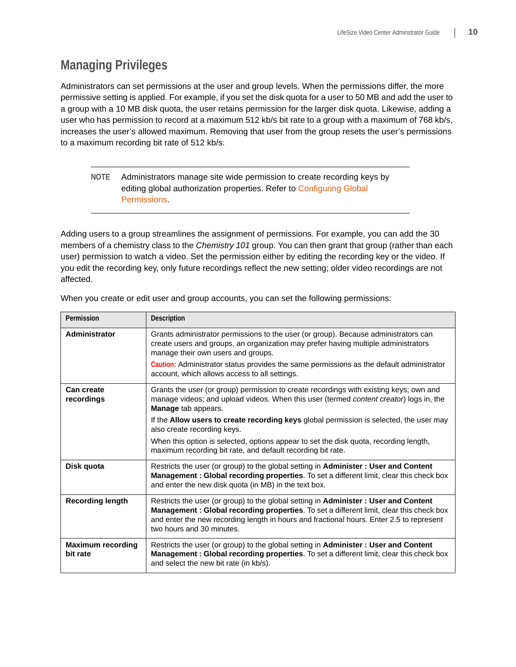## <span id="page-9-0"></span>**Managing Privileges**

Administrators can set permissions at the user and group levels. When the permissions differ, the more permissive setting is applied. For example, if you set the disk quota for a user to 50 MB and add the user to a group with a 10 MB disk quota, the user retains permission for the larger disk quota. Likewise, adding a user who has permission to record at a maximum 512 kb/s bit rate to a group with a maximum of 768 kb/s, increases the user's allowed maximum. Removing that user from the group resets the user's permissions to a maximum recording bit rate of 512 kb/s.

### **NOTE** Administrators manage site wide permission to create recording keys by editing global authorization properties. Refer to [Configuring Global](#page-10-0)  [Permissions](#page-10-0).

Adding users to a group streamlines the assignment of permissions. For example, you can add the 30 members of a chemistry class to the *Chemistry 101* group. You can then grant that group (rather than each user) permission to watch a video. Set the permission either by editing the recording key or the video. If you edit the recording key, only future recordings reflect the new setting; older video recordings are not affected.

| Permission                           | Description                                                                                                                                                                                                                                                                                                    |
|--------------------------------------|----------------------------------------------------------------------------------------------------------------------------------------------------------------------------------------------------------------------------------------------------------------------------------------------------------------|
| Administrator                        | Grants administrator permissions to the user (or group). Because administrators can<br>create users and groups, an organization may prefer having multiple administrators<br>manage their own users and groups.                                                                                                |
|                                      | Caution: Administrator status provides the same permissions as the default administrator<br>account, which allows access to all settings.                                                                                                                                                                      |
| <b>Can create</b><br>recordings      | Grants the user (or group) permission to create recordings with existing keys; own and<br>manage videos; and upload videos. When this user (termed content creator) logs in, the<br>Manage tab appears.                                                                                                        |
|                                      | If the <b>Allow users to create recording keys</b> global permission is selected, the user may<br>also create recording keys.                                                                                                                                                                                  |
|                                      | When this option is selected, options appear to set the disk quota, recording length,<br>maximum recording bit rate, and default recording bit rate.                                                                                                                                                           |
| Disk quota                           | Restricts the user (or group) to the global setting in <b>Administer</b> : User and Content<br>Management : Global recording properties. To set a different limit, clear this check box<br>and enter the new disk quota (in MB) in the text box.                                                               |
| <b>Recording length</b>              | Restricts the user (or group) to the global setting in Administer: User and Content<br><b>Management: Global recording properties.</b> To set a different limit, clear this check box<br>and enter the new recording length in hours and fractional hours. Enter 2.5 to represent<br>two hours and 30 minutes. |
| <b>Maximum recording</b><br>bit rate | Restricts the user (or group) to the global setting in Administer: User and Content<br>Management: Global recording properties. To set a different limit, clear this check box<br>and select the new bit rate (in kb/s).                                                                                       |

When you create or edit user and group accounts, you can set the following permissions: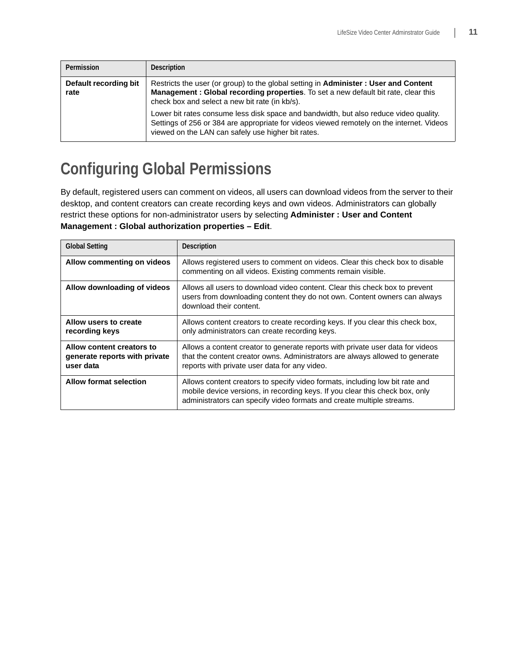| Permission                    | Description                                                                                                                                                                                                                              |
|-------------------------------|------------------------------------------------------------------------------------------------------------------------------------------------------------------------------------------------------------------------------------------|
| Default recording bit<br>rate | Restricts the user (or group) to the global setting in <b>Administer</b> : User and Content<br>Management: Global recording properties. To set a new default bit rate, clear this<br>check box and select a new bit rate (in kb/s).      |
|                               | Lower bit rates consume less disk space and bandwidth, but also reduce video quality.<br>Settings of 256 or 384 are appropriate for videos viewed remotely on the internet. Videos<br>viewed on the LAN can safely use higher bit rates. |

# <span id="page-10-0"></span>**Configuring Global Permissions**

By default, registered users can comment on videos, all users can download videos from the server to their desktop, and content creators can create recording keys and own videos. Administrators can globally restrict these options for non-administrator users by selecting **Administer : User and Content Management : Global authorization properties – Edit**.

| <b>Global Setting</b>                                                   | <b>Description</b>                                                                                                                                                                                                                    |
|-------------------------------------------------------------------------|---------------------------------------------------------------------------------------------------------------------------------------------------------------------------------------------------------------------------------------|
| Allow commenting on videos                                              | Allows registered users to comment on videos. Clear this check box to disable<br>commenting on all videos. Existing comments remain visible.                                                                                          |
| Allow downloading of videos                                             | Allows all users to download video content. Clear this check box to prevent<br>users from downloading content they do not own. Content owners can always<br>download their content.                                                   |
| Allow users to create<br>recording keys                                 | Allows content creators to create recording keys. If you clear this check box,<br>only administrators can create recording keys.                                                                                                      |
| Allow content creators to<br>generate reports with private<br>user data | Allows a content creator to generate reports with private user data for videos<br>that the content creator owns. Administrators are always allowed to generate<br>reports with private user data for any video.                       |
| <b>Allow format selection</b>                                           | Allows content creators to specify video formats, including low bit rate and<br>mobile device versions, in recording keys. If you clear this check box, only<br>administrators can specify video formats and create multiple streams. |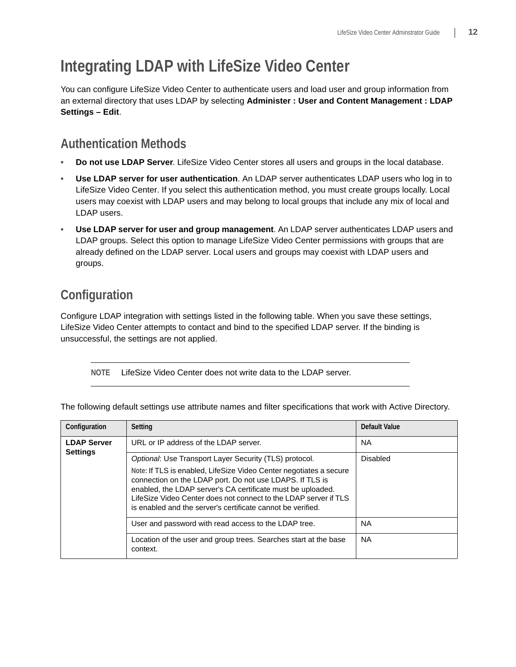# <span id="page-11-0"></span>**Integrating LDAP with LifeSize Video Center**

You can configure LifeSize Video Center to authenticate users and load user and group information from an external directory that uses LDAP by selecting **Administer : User and Content Management : LDAP Settings – Edit**.

## **Authentication Methods**

- **Do not use LDAP Server**. LifeSize Video Center stores all users and groups in the local database.
- **Use LDAP server for user authentication**. An LDAP server authenticates LDAP users who log in to LifeSize Video Center. If you select this authentication method, you must create groups locally. Local users may coexist with LDAP users and may belong to local groups that include any mix of local and LDAP users.
- **Use LDAP server for user and group management**. An LDAP server authenticates LDAP users and LDAP groups. Select this option to manage LifeSize Video Center permissions with groups that are already defined on the LDAP server. Local users and groups may coexist with LDAP users and groups.

## **Configuration**

Configure LDAP integration with settings listed in the following table. When you save these settings, LifeSize Video Center attempts to contact and bind to the specified LDAP server. If the binding is unsuccessful, the settings are not applied.

**NOTE** LifeSize Video Center does not write data to the LDAP server.

| Configuration                         | Setting                                                                                                                                                                                                                                                                                                                          | Default Value |
|---------------------------------------|----------------------------------------------------------------------------------------------------------------------------------------------------------------------------------------------------------------------------------------------------------------------------------------------------------------------------------|---------------|
| <b>LDAP Server</b><br><b>Settings</b> | URL or IP address of the LDAP server.                                                                                                                                                                                                                                                                                            | <b>NA</b>     |
|                                       | Optional: Use Transport Layer Security (TLS) protocol.                                                                                                                                                                                                                                                                           | Disabled      |
|                                       | Note: If TLS is enabled, LifeSize Video Center negotiates a secure<br>connection on the LDAP port. Do not use LDAPS. If TLS is<br>enabled, the LDAP server's CA certificate must be uploaded.<br>LifeSize Video Center does not connect to the LDAP server if TLS<br>is enabled and the server's certificate cannot be verified. |               |
|                                       | User and password with read access to the LDAP tree.                                                                                                                                                                                                                                                                             | <b>NA</b>     |
|                                       | Location of the user and group trees. Searches start at the base<br>context.                                                                                                                                                                                                                                                     | <b>NA</b>     |

The following default settings use attribute names and filter specifications that work with Active Directory.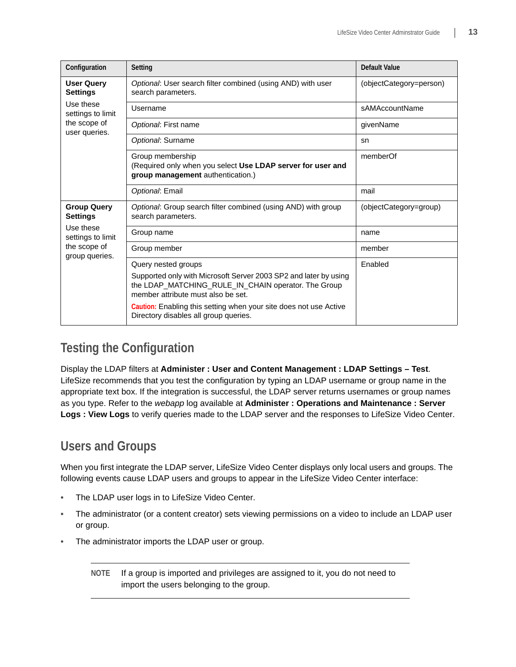| Configuration                                                    | Setting                                                                                                                                                       | Default Value           |
|------------------------------------------------------------------|---------------------------------------------------------------------------------------------------------------------------------------------------------------|-------------------------|
| <b>User Query</b><br><b>Settings</b>                             | Optional: User search filter combined (using AND) with user<br>search parameters.                                                                             | (objectCategory=person) |
| Use these<br>settings to limit                                   | Username                                                                                                                                                      | sAMAccountName          |
| the scope of<br>user queries.                                    | Optional: First name                                                                                                                                          | givenName               |
|                                                                  | Optional: Surname                                                                                                                                             | sn                      |
|                                                                  | Group membership<br>(Required only when you select Use LDAP server for user and<br>group management authentication.)                                          | memberOf                |
|                                                                  | Optional: Email                                                                                                                                               | mail                    |
| <b>Group Query</b><br><b>Settings</b>                            | Optional: Group search filter combined (using AND) with group<br>search parameters.                                                                           | (objectCategory=group)  |
| Use these<br>settings to limit<br>the scope of<br>group queries. | Group name                                                                                                                                                    | name                    |
|                                                                  | Group member                                                                                                                                                  | member                  |
|                                                                  | Query nested groups                                                                                                                                           | Enabled                 |
|                                                                  | Supported only with Microsoft Server 2003 SP2 and later by using<br>the LDAP_MATCHING_RULE_IN_CHAIN operator. The Group<br>member attribute must also be set. |                         |
|                                                                  | Caution: Enabling this setting when your site does not use Active<br>Directory disables all group queries.                                                    |                         |

## **Testing the Configuration**

Display the LDAP filters at **Administer : User and Content Management : LDAP Settings – Test**. LifeSize recommends that you test the configuration by typing an LDAP username or group name in the appropriate text box. If the integration is successful, the LDAP server returns usernames or group names as you type. Refer to the *webapp* log available at **Administer : Operations and Maintenance : Server Logs : View Logs** to verify queries made to the LDAP server and the responses to LifeSize Video Center.

## **Users and Groups**

When you first integrate the LDAP server, LifeSize Video Center displays only local users and groups. The following events cause LDAP users and groups to appear in the LifeSize Video Center interface:

- The LDAP user logs in to LifeSize Video Center.
- The administrator (or a content creator) sets viewing permissions on a video to include an LDAP user or group.
- The administrator imports the LDAP user or group.

**NOTE** If a group is imported and privileges are assigned to it, you do not need to import the users belonging to the group.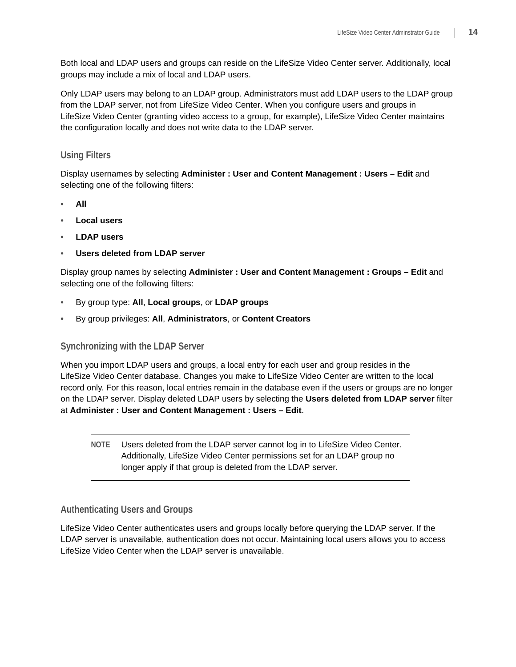Both local and LDAP users and groups can reside on the LifeSize Video Center server. Additionally, local groups may include a mix of local and LDAP users.

Only LDAP users may belong to an LDAP group. Administrators must add LDAP users to the LDAP group from the LDAP server, not from LifeSize Video Center. When you configure users and groups in LifeSize Video Center (granting video access to a group, for example), LifeSize Video Center maintains the configuration locally and does not write data to the LDAP server.

### **Using Filters**

Display usernames by selecting **Administer : User and Content Management : Users – Edit** and selecting one of the following filters:

- **All**
- **Local users**
- **LDAP users**
- **Users deleted from LDAP server**

Display group names by selecting **Administer : User and Content Management : Groups – Edit** and selecting one of the following filters:

- By group type: **All**, **Local groups**, or **LDAP groups**
- By group privileges: **All**, **Administrators**, or **Content Creators**

### **Synchronizing with the LDAP Server**

When you import LDAP users and groups, a local entry for each user and group resides in the LifeSize Video Center database. Changes you make to LifeSize Video Center are written to the local record only. For this reason, local entries remain in the database even if the users or groups are no longer on the LDAP server. Display deleted LDAP users by selecting the **Users deleted from LDAP server** filter at **Administer : User and Content Management : Users – Edit**.

**NOTE** Users deleted from the LDAP server cannot log in to LifeSize Video Center. Additionally, LifeSize Video Center permissions set for an LDAP group no longer apply if that group is deleted from the LDAP server.

### **Authenticating Users and Groups**

LifeSize Video Center authenticates users and groups locally before querying the LDAP server. If the LDAP server is unavailable, authentication does not occur. Maintaining local users allows you to access LifeSize Video Center when the LDAP server is unavailable.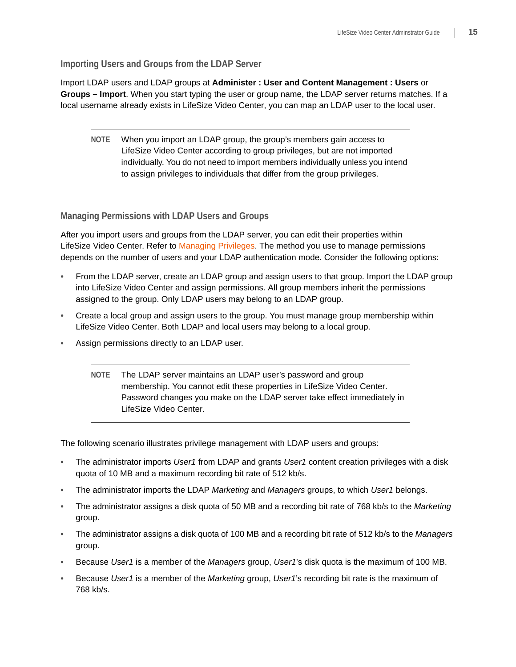**Importing Users and Groups from the LDAP Server** 

Import LDAP users and LDAP groups at **Administer : User and Content Management : Users** or **Groups – Import**. When you start typing the user or group name, the LDAP server returns matches. If a local username already exists in LifeSize Video Center, you can map an LDAP user to the local user.

**NOTE** When you import an LDAP group, the group's members gain access to LifeSize Video Center according to group privileges, but are not imported individually. You do not need to import members individually unless you intend to assign privileges to individuals that differ from the group privileges.

**Managing Permissions with LDAP Users and Groups**

After you import users and groups from the LDAP server, you can edit their properties within LifeSize Video Center. Refer to [Managing Privileges](#page-9-0). The method you use to manage permissions depends on the number of users and your LDAP authentication mode. Consider the following options:

- From the LDAP server, create an LDAP group and assign users to that group. Import the LDAP group into LifeSize Video Center and assign permissions. All group members inherit the permissions assigned to the group. Only LDAP users may belong to an LDAP group.
- Create a local group and assign users to the group. You must manage group membership within LifeSize Video Center. Both LDAP and local users may belong to a local group.
- Assign permissions directly to an LDAP user.
	- **NOTE** The LDAP server maintains an LDAP user's password and group membership. You cannot edit these properties in LifeSize Video Center. Password changes you make on the LDAP server take effect immediately in LifeSize Video Center.

The following scenario illustrates privilege management with LDAP users and groups:

- The administrator imports *User1* from LDAP and grants *User1* content creation privileges with a disk quota of 10 MB and a maximum recording bit rate of 512 kb/s.
- The administrator imports the LDAP *Marketing* and *Managers* groups, to which *User1* belongs.
- The administrator assigns a disk quota of 50 MB and a recording bit rate of 768 kb/s to the *Marketing* group.
- The administrator assigns a disk quota of 100 MB and a recording bit rate of 512 kb/s to the *Managers* group.
- Because *User1* is a member of the *Managers* group, *User1*'s disk quota is the maximum of 100 MB.
- Because *User1* is a member of the *Marketing* group, *User1*'s recording bit rate is the maximum of 768 kb/s.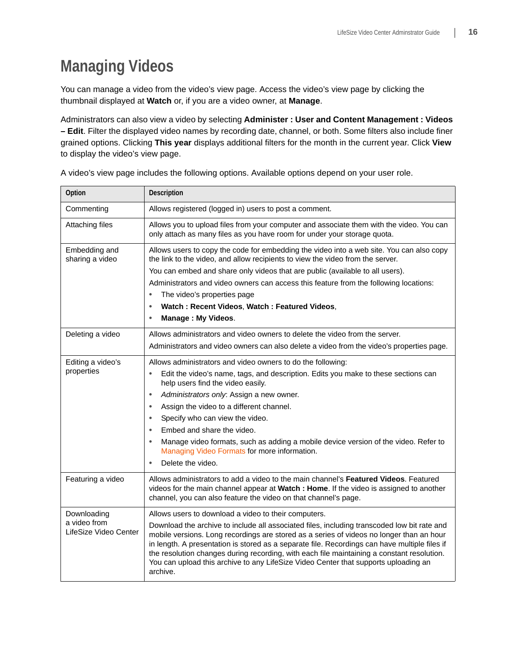# <span id="page-15-0"></span>**Managing Videos**

You can manage a video from the video's view page. Access the video's view page by clicking the thumbnail displayed at **Watch** or, if you are a video owner, at **Manage**.

Administrators can also view a video by selecting **Administer : User and Content Management : Videos – Edit**. Filter the displayed video names by recording date, channel, or both. Some filters also include finer grained options. Clicking **This year** displays additional filters for the month in the current year. Click **View** to display the video's view page.

| Option                                               | Description                                                                                                                                                                                                                                                                                                                                                                                                                                                                               |
|------------------------------------------------------|-------------------------------------------------------------------------------------------------------------------------------------------------------------------------------------------------------------------------------------------------------------------------------------------------------------------------------------------------------------------------------------------------------------------------------------------------------------------------------------------|
| Commenting                                           | Allows registered (logged in) users to post a comment.                                                                                                                                                                                                                                                                                                                                                                                                                                    |
| Attaching files                                      | Allows you to upload files from your computer and associate them with the video. You can<br>only attach as many files as you have room for under your storage quota.                                                                                                                                                                                                                                                                                                                      |
| Embedding and<br>sharing a video                     | Allows users to copy the code for embedding the video into a web site. You can also copy<br>the link to the video, and allow recipients to view the video from the server.                                                                                                                                                                                                                                                                                                                |
|                                                      | You can embed and share only videos that are public (available to all users).                                                                                                                                                                                                                                                                                                                                                                                                             |
|                                                      | Administrators and video owners can access this feature from the following locations:                                                                                                                                                                                                                                                                                                                                                                                                     |
|                                                      | The video's properties page<br>$\bullet$                                                                                                                                                                                                                                                                                                                                                                                                                                                  |
|                                                      | Watch: Recent Videos, Watch: Featured Videos,<br>$\bullet$                                                                                                                                                                                                                                                                                                                                                                                                                                |
|                                                      | Manage: My Videos.<br>$\bullet$                                                                                                                                                                                                                                                                                                                                                                                                                                                           |
| Deleting a video                                     | Allows administrators and video owners to delete the video from the server.                                                                                                                                                                                                                                                                                                                                                                                                               |
|                                                      | Administrators and video owners can also delete a video from the video's properties page.                                                                                                                                                                                                                                                                                                                                                                                                 |
| Editing a video's                                    | Allows administrators and video owners to do the following:                                                                                                                                                                                                                                                                                                                                                                                                                               |
| properties                                           | Edit the video's name, tags, and description. Edits you make to these sections can<br>help users find the video easily.                                                                                                                                                                                                                                                                                                                                                                   |
|                                                      | Administrators only: Assign a new owner.<br>$\bullet$                                                                                                                                                                                                                                                                                                                                                                                                                                     |
|                                                      | Assign the video to a different channel.<br>$\bullet$                                                                                                                                                                                                                                                                                                                                                                                                                                     |
|                                                      | Specify who can view the video.<br>$\bullet$                                                                                                                                                                                                                                                                                                                                                                                                                                              |
|                                                      | Embed and share the video.                                                                                                                                                                                                                                                                                                                                                                                                                                                                |
|                                                      | Manage video formats, such as adding a mobile device version of the video. Refer to<br>$\bullet$<br>Managing Video Formats for more information.                                                                                                                                                                                                                                                                                                                                          |
|                                                      | Delete the video.                                                                                                                                                                                                                                                                                                                                                                                                                                                                         |
| Featuring a video                                    | Allows administrators to add a video to the main channel's Featured Videos. Featured<br>videos for the main channel appear at Watch : Home. If the video is assigned to another<br>channel, you can also feature the video on that channel's page.                                                                                                                                                                                                                                        |
| Downloading<br>a video from<br>LifeSize Video Center | Allows users to download a video to their computers.                                                                                                                                                                                                                                                                                                                                                                                                                                      |
|                                                      | Download the archive to include all associated files, including transcoded low bit rate and<br>mobile versions. Long recordings are stored as a series of videos no longer than an hour<br>in length. A presentation is stored as a separate file. Recordings can have multiple files if<br>the resolution changes during recording, with each file maintaining a constant resolution.<br>You can upload this archive to any LifeSize Video Center that supports uploading an<br>archive. |

A video's view page includes the following options. Available options depend on your user role.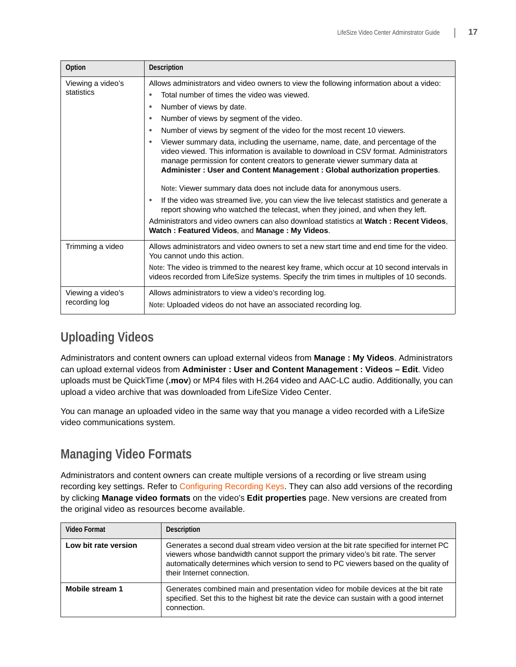| Option                             | Description                                                                                                                                                                                                                                                                                                                                                                                                                                                                                                                                                                                                                                                                                                                                                                                                                                                                                                                                                                                                                                      |
|------------------------------------|--------------------------------------------------------------------------------------------------------------------------------------------------------------------------------------------------------------------------------------------------------------------------------------------------------------------------------------------------------------------------------------------------------------------------------------------------------------------------------------------------------------------------------------------------------------------------------------------------------------------------------------------------------------------------------------------------------------------------------------------------------------------------------------------------------------------------------------------------------------------------------------------------------------------------------------------------------------------------------------------------------------------------------------------------|
| Viewing a video's<br>statistics    | Allows administrators and video owners to view the following information about a video:<br>Total number of times the video was viewed.<br>٠<br>Number of views by date.<br>Number of views by segment of the video.<br>٠<br>Number of views by segment of the video for the most recent 10 viewers.<br>Viewer summary data, including the username, name, date, and percentage of the<br>video viewed. This information is available to download in CSV format. Administrators<br>manage permission for content creators to generate viewer summary data at<br>Administer: User and Content Management: Global authorization properties.<br>Note: Viewer summary data does not include data for anonymous users.<br>If the video was streamed live, you can view the live telecast statistics and generate a<br>report showing who watched the telecast, when they joined, and when they left.<br>Administrators and video owners can also download statistics at <b>Watch: Recent Videos.</b><br>Watch: Featured Videos, and Manage: My Videos. |
| Trimming a video                   | Allows administrators and video owners to set a new start time and end time for the video.<br>You cannot undo this action.<br>Note: The video is trimmed to the nearest key frame, which occur at 10 second intervals in<br>videos recorded from LifeSize systems. Specify the trim times in multiples of 10 seconds.                                                                                                                                                                                                                                                                                                                                                                                                                                                                                                                                                                                                                                                                                                                            |
| Viewing a video's<br>recording log | Allows administrators to view a video's recording log.<br>Note: Uploaded videos do not have an associated recording log.                                                                                                                                                                                                                                                                                                                                                                                                                                                                                                                                                                                                                                                                                                                                                                                                                                                                                                                         |

## **Uploading Videos**

Administrators and content owners can upload external videos from **Manage : My Videos**. Administrators can upload external videos from **Administer : User and Content Management : Videos – Edit**. Video uploads must be QuickTime (**.mov**) or MP4 files with H.264 video and AAC-LC audio. Additionally, you can upload a video archive that was downloaded from LifeSize Video Center.

You can manage an uploaded video in the same way that you manage a video recorded with a LifeSize video communications system.

## <span id="page-16-0"></span>**Managing Video Formats**

Administrators and content owners can create multiple versions of a recording or live stream using recording key settings. Refer to [Configuring Recording Keys.](#page-2-0) They can also add versions of the recording by clicking **Manage video formats** on the video's **Edit properties** page. New versions are created from the original video as resources become available.

| Video Format         | Description                                                                                                                                                                                                                                                                                     |
|----------------------|-------------------------------------------------------------------------------------------------------------------------------------------------------------------------------------------------------------------------------------------------------------------------------------------------|
| Low bit rate version | Generates a second dual stream video version at the bit rate specified for internet PC<br>viewers whose bandwidth cannot support the primary video's bit rate. The server<br>automatically determines which version to send to PC viewers based on the quality of<br>their Internet connection. |
| Mobile stream 1      | Generates combined main and presentation video for mobile devices at the bit rate<br>specified. Set this to the highest bit rate the device can sustain with a good internet<br>connection.                                                                                                     |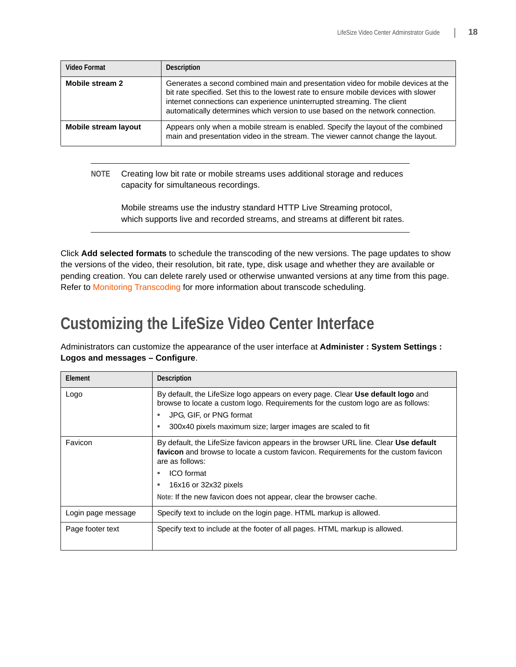| <b>Video Format</b>  | <b>Description</b>                                                                                                                                                                                                                                                                                                                     |
|----------------------|----------------------------------------------------------------------------------------------------------------------------------------------------------------------------------------------------------------------------------------------------------------------------------------------------------------------------------------|
| Mobile stream 2      | Generates a second combined main and presentation video for mobile devices at the<br>bit rate specified. Set this to the lowest rate to ensure mobile devices with slower<br>internet connections can experience uninterrupted streaming. The client<br>automatically determines which version to use based on the network connection. |
| Mobile stream layout | Appears only when a mobile stream is enabled. Specify the layout of the combined<br>main and presentation video in the stream. The viewer cannot change the layout.                                                                                                                                                                    |

**NOTE** Creating low bit rate or mobile streams uses additional storage and reduces capacity for simultaneous recordings.

Mobile streams use the industry standard HTTP Live Streaming protocol, which supports live and recorded streams, and streams at different bit rates.

Click **Add selected formats** to schedule the transcoding of the new versions. The page updates to show the versions of the video, their resolution, bit rate, type, disk usage and whether they are available or pending creation. You can delete rarely used or otherwise unwanted versions at any time from this page. Refer to [Monitoring Transcoding](#page-20-1) for more information about transcode scheduling.

# <span id="page-17-0"></span>**Customizing the LifeSize Video Center Interface**

Administrators can customize the appearance of the user interface at **Administer : System Settings : Logos and messages – Configure**.

| Element            | <b>Description</b>                                                                                                                                                                                                                                                                                        |
|--------------------|-----------------------------------------------------------------------------------------------------------------------------------------------------------------------------------------------------------------------------------------------------------------------------------------------------------|
| Logo               | By default, the LifeSize logo appears on every page. Clear Use default logo and<br>browse to locate a custom logo. Requirements for the custom logo are as follows:                                                                                                                                       |
|                    | JPG, GIF, or PNG format                                                                                                                                                                                                                                                                                   |
|                    | 300x40 pixels maximum size; larger images are scaled to fit                                                                                                                                                                                                                                               |
| Favicon            | By default, the LifeSize favicon appears in the browser URL line. Clear Use default<br>favicon and browse to locate a custom favicon. Requirements for the custom favicon<br>are as follows:<br>ICO format<br>16x16 or 32x32 pixels<br>Note: If the new favicon does not appear, clear the browser cache. |
|                    |                                                                                                                                                                                                                                                                                                           |
| Login page message | Specify text to include on the login page. HTML markup is allowed.                                                                                                                                                                                                                                        |
| Page footer text   | Specify text to include at the footer of all pages. HTML markup is allowed.                                                                                                                                                                                                                               |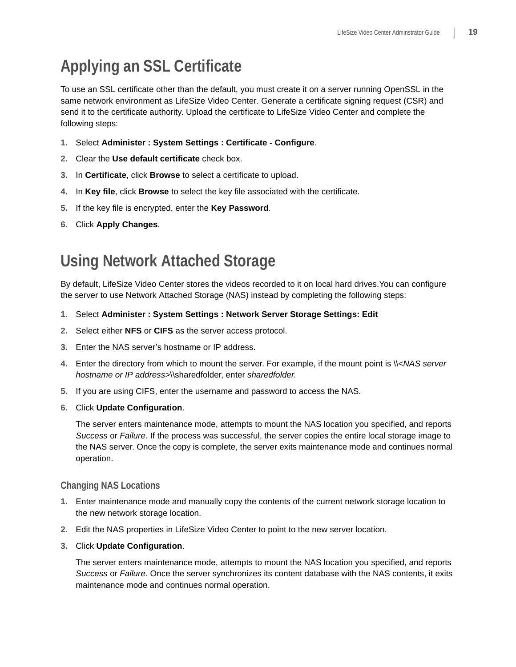# <span id="page-18-0"></span>**Applying an SSL Certificate**

To use an SSL certificate other than the default, you must create it on a server running OpenSSL in the same network environment as LifeSize Video Center. Generate a certificate signing request (CSR) and send it to the certificate authority. Upload the certificate to LifeSize Video Center and complete the following steps:

- **1.** Select **Administer : System Settings : Certificate Configure**.
- **2.** Clear the **Use default certificate** check box.
- **3.** In **Certificate**, click **Browse** to select a certificate to upload.
- **4.** In **Key file**, click **Browse** to select the key file associated with the certificate.
- **5.** If the key file is encrypted, enter the **Key Password**.
- **6.** Click **Apply Changes**.

# <span id="page-18-1"></span>**Using Network Attached Storage**

By default, LifeSize Video Center stores the videos recorded to it on local hard drives.You can configure the server to use Network Attached Storage (NAS) instead by completing the following steps:

- **1.** Select **Administer : System Settings : Network Server Storage Settings: Edit**
- **2.** Select either **NFS** or **CIFS** as the server access protocol.
- **3.** Enter the NAS server's hostname or IP address.
- **4.** Enter the directory from which to mount the server. For example, if the mount point is \\*<NAS server hostname or IP address>*\\sharedfolder, enter *sharedfolder*.
- **5.** If you are using CIFS, enter the username and password to access the NAS.
- **6.** Click **Update Configuration**.

The server enters maintenance mode, attempts to mount the NAS location you specified, and reports *Success* or *Failure*. If the process was successful, the server copies the entire local storage image to the NAS server. Once the copy is complete, the server exits maintenance mode and continues normal operation.

#### **Changing NAS Locations**

- **1.** Enter maintenance mode and manually copy the contents of the current network storage location to the new network storage location.
- **2.** Edit the NAS properties in LifeSize Video Center to point to the new server location.
- **3.** Click **Update Configuration**.

The server enters maintenance mode, attempts to mount the NAS location you specified, and reports *Success* or *Failure*. Once the server synchronizes its content database with the NAS contents, it exits maintenance mode and continues normal operation.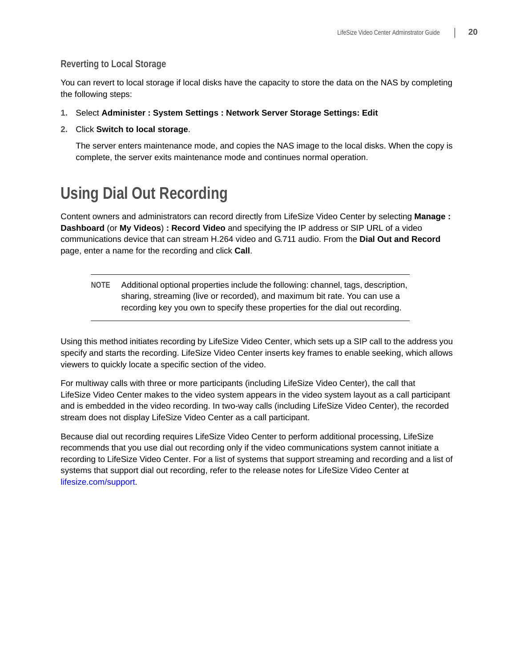### **Reverting to Local Storage**

You can revert to local storage if local disks have the capacity to store the data on the NAS by completing the following steps:

- **1.** Select **Administer : System Settings : Network Server Storage Settings: Edit**
- **2.** Click **Switch to local storage**.

The server enters maintenance mode, and copies the NAS image to the local disks. When the copy is complete, the server exits maintenance mode and continues normal operation.

# <span id="page-19-0"></span>**Using Dial Out Recording**

Content owners and administrators can record directly from LifeSize Video Center by selecting **Manage : Dashboard** (or **My Videos**) **: Record Video** and specifying the IP address or SIP URL of a video communications device that can stream H.264 video and G.711 audio. From the **Dial Out and Record** page, enter a name for the recording and click **Call**.

**NOTE** Additional optional properties include the following: channel, tags, description, sharing, streaming (live or recorded), and maximum bit rate. You can use a recording key you own to specify these properties for the dial out recording.

Using this method initiates recording by LifeSize Video Center, which sets up a SIP call to the address you specify and starts the recording. LifeSize Video Center inserts key frames to enable seeking, which allows viewers to quickly locate a specific section of the video.

For multiway calls with three or more participants (including LifeSize Video Center), the call that LifeSize Video Center makes to the video system appears in the video system layout as a call participant and is embedded in the video recording. In two-way calls (including LifeSize Video Center), the recorded stream does not display LifeSize Video Center as a call participant.

Because dial out recording requires LifeSize Video Center to perform additional processing, LifeSize recommends that you use dial out recording only if the video communications system cannot initiate a recording to LifeSize Video Center. For a list of systems that support streaming and recording and a list of systems that support dial out recording, refer to the release notes for LifeSize Video Center at [lifesize.com/support](http://www.lifesize.com/support).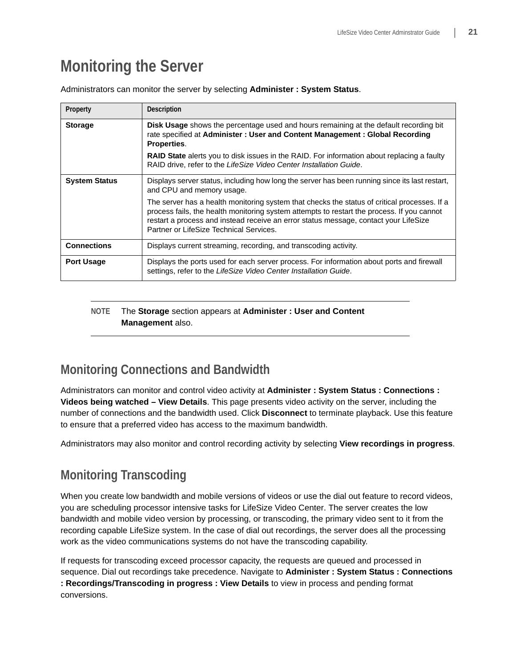# <span id="page-20-0"></span>**Monitoring the Server**

| Property             | <b>Description</b>                                                                                                                                                                                                                                                                                                            |
|----------------------|-------------------------------------------------------------------------------------------------------------------------------------------------------------------------------------------------------------------------------------------------------------------------------------------------------------------------------|
| <b>Storage</b>       | Disk Usage shows the percentage used and hours remaining at the default recording bit<br>rate specified at Administer: User and Content Management: Global Recording<br>Properties.                                                                                                                                           |
|                      | <b>RAID State</b> alerts you to disk issues in the RAID. For information about replacing a faulty<br>RAID drive, refer to the LifeSize Video Center Installation Guide.                                                                                                                                                       |
| <b>System Status</b> | Displays server status, including how long the server has been running since its last restart,<br>and CPU and memory usage.                                                                                                                                                                                                   |
|                      | The server has a health monitoring system that checks the status of critical processes. If a<br>process fails, the health monitoring system attempts to restart the process. If you cannot<br>restart a process and instead receive an error status message, contact your LifeSize<br>Partner or LifeSize Technical Services. |
| <b>Connections</b>   | Displays current streaming, recording, and transcoding activity.                                                                                                                                                                                                                                                              |
| <b>Port Usage</b>    | Displays the ports used for each server process. For information about ports and firewall<br>settings, refer to the LifeSize Video Center Installation Guide.                                                                                                                                                                 |

Administrators can monitor the server by selecting **Administer : System Status**.

### **NOTE** The **Storage** section appears at **Administer : User and Content Management** also.

## **Monitoring Connections and Bandwidth**

Administrators can monitor and control video activity at **Administer : System Status : Connections : Videos being watched – View Details**. This page presents video activity on the server, including the number of connections and the bandwidth used. Click **Disconnect** to terminate playback. Use this feature to ensure that a preferred video has access to the maximum bandwidth.

Administrators may also monitor and control recording activity by selecting **View recordings in progress**.

## <span id="page-20-1"></span>**Monitoring Transcoding**

When you create low bandwidth and mobile versions of videos or use the dial out feature to record videos, you are scheduling processor intensive tasks for LifeSize Video Center. The server creates the low bandwidth and mobile video version by processing, or transcoding, the primary video sent to it from the recording capable LifeSize system. In the case of dial out recordings, the server does all the processing work as the video communications systems do not have the transcoding capability.

If requests for transcoding exceed processor capacity, the requests are queued and processed in sequence. Dial out recordings take precedence. Navigate to **Administer : System Status : Connections : Recordings/Transcoding in progress : View Details** to view in process and pending format conversions.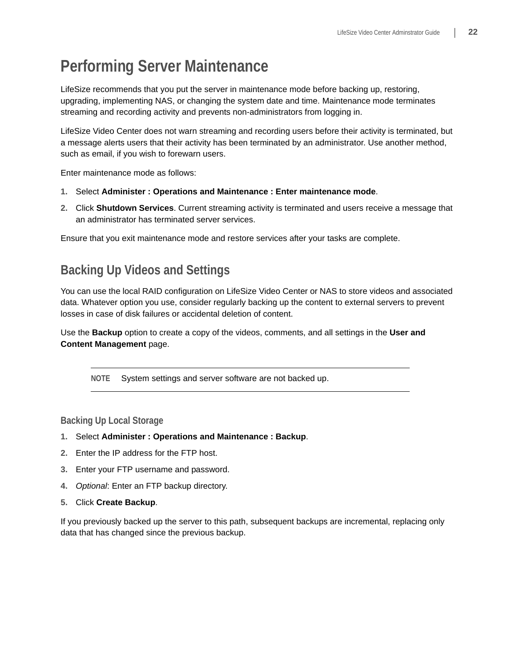# <span id="page-21-0"></span>**Performing Server Maintenance**

LifeSize recommends that you put the server in maintenance mode before backing up, restoring, upgrading, implementing NAS, or changing the system date and time. Maintenance mode terminates streaming and recording activity and prevents non-administrators from logging in.

LifeSize Video Center does not warn streaming and recording users before their activity is terminated, but a message alerts users that their activity has been terminated by an administrator. Use another method, such as email, if you wish to forewarn users.

Enter maintenance mode as follows:

- **1.** Select **Administer : Operations and Maintenance : Enter maintenance mode**.
- **2.** Click **Shutdown Services**. Current streaming activity is terminated and users receive a message that an administrator has terminated server services.

Ensure that you exit maintenance mode and restore services after your tasks are complete.

## **Backing Up Videos and Settings**

You can use the local RAID configuration on LifeSize Video Center or NAS to store videos and associated data. Whatever option you use, consider regularly backing up the content to external servers to prevent losses in case of disk failures or accidental deletion of content.

Use the **Backup** option to create a copy of the videos, comments, and all settings in the **User and Content Management** page.

**NOTE** System settings and server software are not backed up.

### **Backing Up Local Storage**

- **1.** Select **Administer : Operations and Maintenance : Backup**.
- **2.** Enter the IP address for the FTP host.
- **3.** Enter your FTP username and password.
- **4.** *Optional*: Enter an FTP backup directory.
- **5.** Click **Create Backup**.

If you previously backed up the server to this path, subsequent backups are incremental, replacing only data that has changed since the previous backup.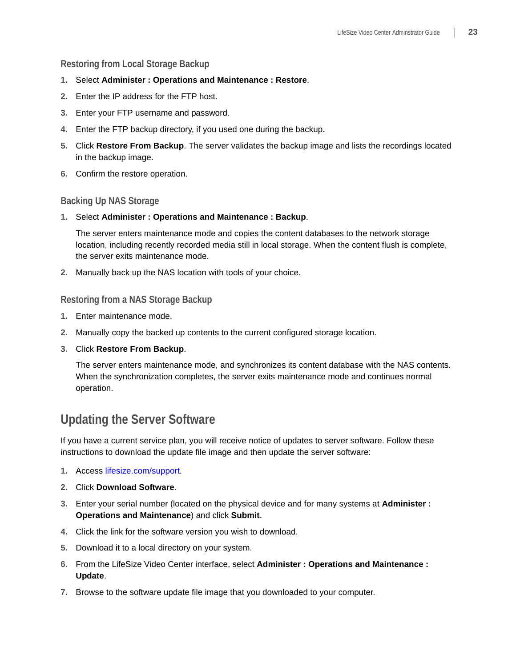### **Restoring from Local Storage Backup**

- **1.** Select **Administer : Operations and Maintenance : Restore**.
- **2.** Enter the IP address for the FTP host.
- **3.** Enter your FTP username and password.
- **4.** Enter the FTP backup directory, if you used one during the backup.
- **5.** Click **Restore From Backup**. The server validates the backup image and lists the recordings located in the backup image.
- **6.** Confirm the restore operation.

### **Backing Up NAS Storage**

**1.** Select **Administer : Operations and Maintenance : Backup**.

The server enters maintenance mode and copies the content databases to the network storage location, including recently recorded media still in local storage. When the content flush is complete, the server exits maintenance mode.

**2.** Manually back up the NAS location with tools of your choice.

### **Restoring from a NAS Storage Backup**

- **1.** Enter maintenance mode.
- **2.** Manually copy the backed up contents to the current configured storage location.
- **3.** Click **Restore From Backup**.

The server enters maintenance mode, and synchronizes its content database with the NAS contents. When the synchronization completes, the server exits maintenance mode and continues normal operation.

## **Updating the Server Software**

If you have a current service plan, you will receive notice of updates to server software. Follow these instructions to download the update file image and then update the server software:

- **1.** Access [lifesize.com/support](http://www.llifesize.com/support).
- **2.** Click **Download Software**.
- **3.** Enter your serial number (located on the physical device and for many systems at **Administer : Operations and Maintenance**) and click **Submit**.
- **4.** Click the link for the software version you wish to download.
- **5.** Download it to a local directory on your system.
- **6.** From the LifeSize Video Center interface, select **Administer : Operations and Maintenance : Update**.
- **7.** Browse to the software update file image that you downloaded to your computer.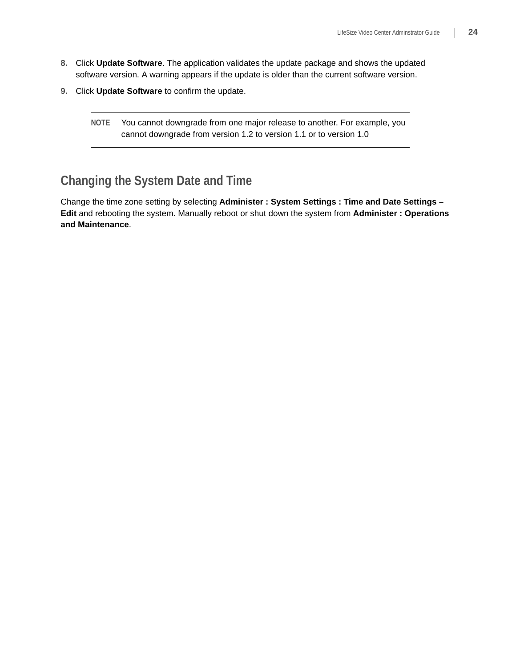- **8.** Click **Update Software**. The application validates the update package and shows the updated software version. A warning appears if the update is older than the current software version.
- **9.** Click **Update Software** to confirm the update.
	- **NOTE** You cannot downgrade from one major release to another. For example, you cannot downgrade from version 1.2 to version 1.1 or to version 1.0

## **Changing the System Date and Time**

Change the time zone setting by selecting **Administer : System Settings : Time and Date Settings – Edit** and rebooting the system. Manually reboot or shut down the system from **Administer : Operations and Maintenance**.